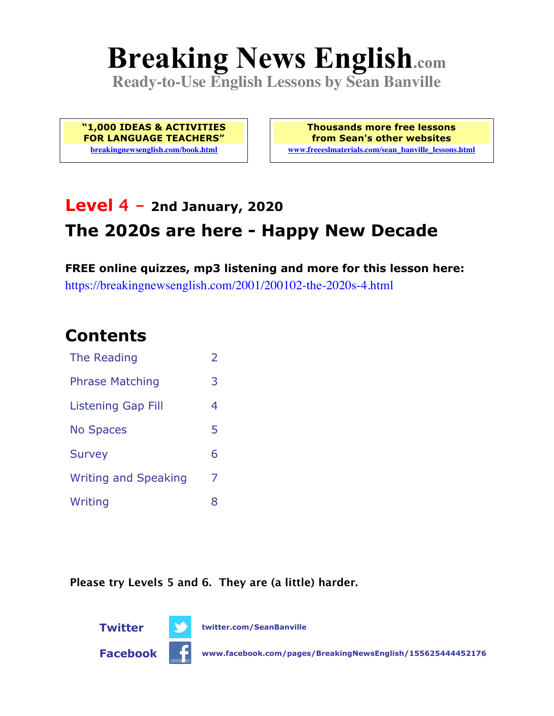# **Breaking News English.com**

**Ready-to-Use English Lessons by Sean Banville**

**"1,000 IDEAS & ACTIVITIES FOR LANGUAGE TEACHERS" breakingnewsenglish.com/book.html**

**Thousands more free lessons from Sean's other websites www.freeeslmaterials.com/sean\_banville\_lessons.html**

### **Level 4 - 2nd January, 2020 The 2020s are here - Happy New Decade**

**FREE online quizzes, mp3 listening and more for this lesson here:** https://breakingnewsenglish.com/2001/200102-the-2020s-4.html

### **Contents**

| The Reading                 | $\overline{\phantom{a}}$ |
|-----------------------------|--------------------------|
| <b>Phrase Matching</b>      | 3                        |
| Listening Gap Fill          | 4                        |
| <b>No Spaces</b>            | 5                        |
| <b>Survey</b>               | 6                        |
| <b>Writing and Speaking</b> | 7                        |
| Writing                     | 8                        |

**Please try Levels 5 and 6. They are (a little) harder.**





**Twitter twitter.com/SeanBanville**

**Facebook www.facebook.com/pages/BreakingNewsEnglish/155625444452176**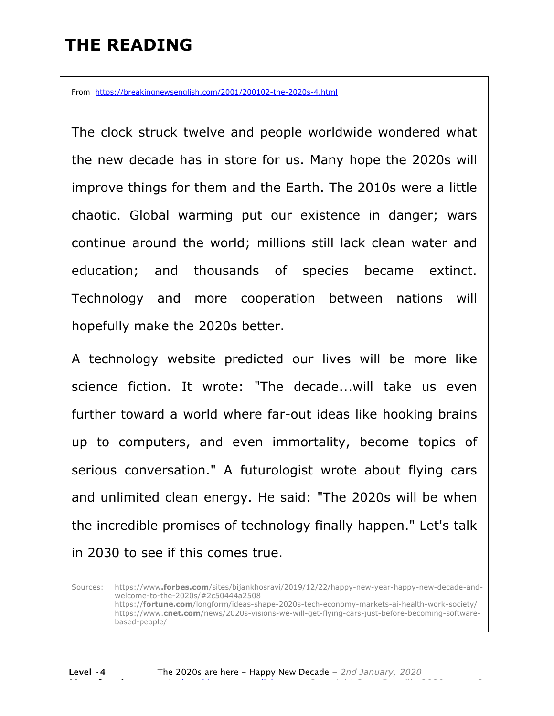### **THE READING**

From https://breakingnewsenglish.com/2001/200102-the-2020s-4.html

The clock struck twelve and people worldwide wondered what the new decade has in store for us. Many hope the 2020s will improve things for them and the Earth. The 2010s were a little chaotic. Global warming put our existence in danger; wars continue around the world; millions still lack clean water and education; and thousands of species became extinct. Technology and more cooperation between nations will hopefully make the 2020s better.

A technology website predicted our lives will be more like science fiction. It wrote: "The decade...will take us even further toward a world where far-out ideas like hooking brains up to computers, and even immortality, become topics of serious conversation." A futurologist wrote about flying cars and unlimited clean energy. He said: "The 2020s will be when the incredible promises of technology finally happen." Let's talk in 2030 to see if this comes true.

Sources: https://www**.forbes.com**/sites/bijankhosravi/2019/12/22/happy-new-year-happy-new-decade-andwelcome-to-the-2020s/#2c50444a2508 https://**fortune.com**/longform/ideas-shape-2020s-tech-economy-markets-ai-health-work-society/ https://www.**cnet.com**/news/2020s-visions-we-will-get-flying-cars-just-before-becoming-softwarebased-people/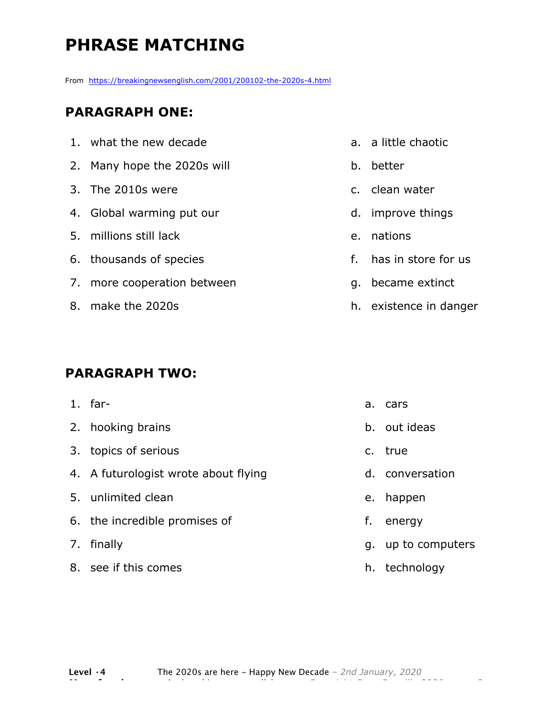## **PHRASE MATCHING**

From https://breakingnewsenglish.com/2001/200102-the-2020s-4.html

### **PARAGRAPH ONE:**

| 1. what the new decade      |
|-----------------------------|
| 2. Many hope the 2020s will |
| 3. The 2010s were           |
| 4. Global warming put our   |
| 5. millions still lack      |
| 6. thousands of species     |
| 7. more cooperation between |
| 8. make the 2020s           |
|                             |

### **PARAGRAPH TWO:**

| $1.$ far-                            |    | a. cars            |
|--------------------------------------|----|--------------------|
| 2. hooking brains                    |    | b. out ideas       |
| 3. topics of serious                 |    | c. true            |
| 4. A futurologist wrote about flying |    | d. conversation    |
| 5. unlimited clean                   |    | e. happen          |
| 6. the incredible promises of        | f. | energy             |
| 7. finally                           |    | q. up to computers |
| 8. see if this comes                 |    | h. technology      |

#### a. a little chaotic

- b. better
- c. clean water
- d. improve things
- e. nations
- f. has in store for us
- g. became extinct
- h. existence in danger

**Level ·4** The 2020s are here - Happy New Decade *– 2nd January, 2020* **More free lessons at** breakingnewsenglish.com - Copyright Sean Banville 2020 3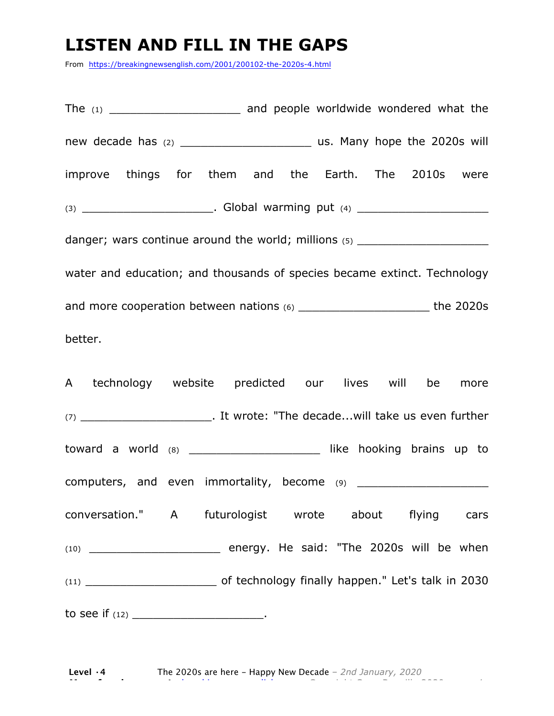### **LISTEN AND FILL IN THE GAPS**

From https://breakingnewsenglish.com/2001/200102-the-2020s-4.html

The  $(1)$  and people worldwide wondered what the new decade has (2) \_\_\_\_\_\_\_\_\_\_\_\_\_\_\_\_\_\_\_ us. Many hope the 2020s will improve things for them and the Earth. The 2010s were (3) \_\_\_\_\_\_\_\_\_\_\_\_\_\_\_\_\_\_\_. Global warming put (4) \_\_\_\_\_\_\_\_\_\_\_\_\_\_\_\_\_\_\_ danger; wars continue around the world; millions (5) \_\_\_\_\_\_\_\_\_\_\_\_\_\_\_\_\_\_\_\_\_\_\_\_\_\_\_ water and education; and thousands of species became extinct. Technology and more cooperation between nations (6) \_\_\_\_\_\_\_\_\_\_\_\_\_\_\_\_\_\_\_ the 2020s

better.

A technology website predicted our lives will be more (7) \_\_\_\_\_\_\_\_\_\_\_\_\_\_\_\_\_\_\_. It wrote: "The decade...will take us even further toward a world (8) \_\_\_\_\_\_\_\_\_\_\_\_\_\_\_\_\_\_\_ like hooking brains up to computers, and even immortality, become (9) \_\_\_\_\_\_\_\_\_\_\_\_\_\_\_\_\_\_\_ conversation." A futurologist wrote about flying cars  $(10)$  energy. He said: "The 2020s will be when (11) \_\_\_\_\_\_\_\_\_\_\_\_\_\_\_\_\_\_\_ of technology finally happen." Let's talk in 2030 to see if  $(12)$  \_\_\_\_\_\_\_\_\_\_\_\_\_\_\_\_\_\_\_\_\_\_\_.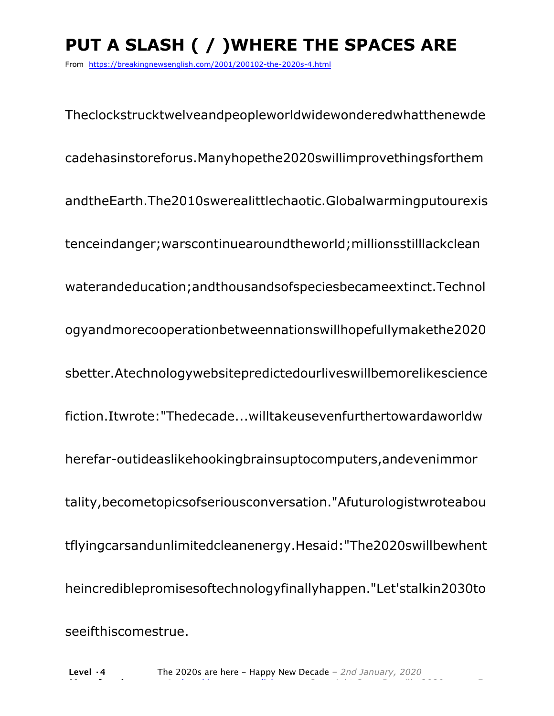# **PUT A SLASH ( / )WHERE THE SPACES ARE**

From https://breakingnewsenglish.com/2001/200102-the-2020s-4.html

Theclockstrucktwelveandpeopleworldwidewonderedwhatthenewde cadehasinstoreforus.Manyhopethe2020swillimprovethingsforthem andtheEarth.The2010swerealittlechaotic.Globalwarmingputourexis tenceindanger;warscontinuearoundtheworld;millionsstilllackclean waterandeducation;andthousandsofspeciesbecameextinct.Technol ogyandmorecooperationbetweennationswillhopefullymakethe2020 sbetter.Atechnologywebsitepredictedourliveswillbemorelikescience fiction.Itwrote:"Thedecade...willtakeusevenfurthertowardaworldw herefar-outideaslikehookingbrainsuptocomputers,andevenimmor tality,becometopicsofseriousconversation."Afuturologistwroteabou tflyingcarsandunlimitedcleanenergy.Hesaid:"The2020swillbewhent heincrediblepromisesoftechnologyfinallyhappen."Let'stalkin2030to seeifthiscomestrue.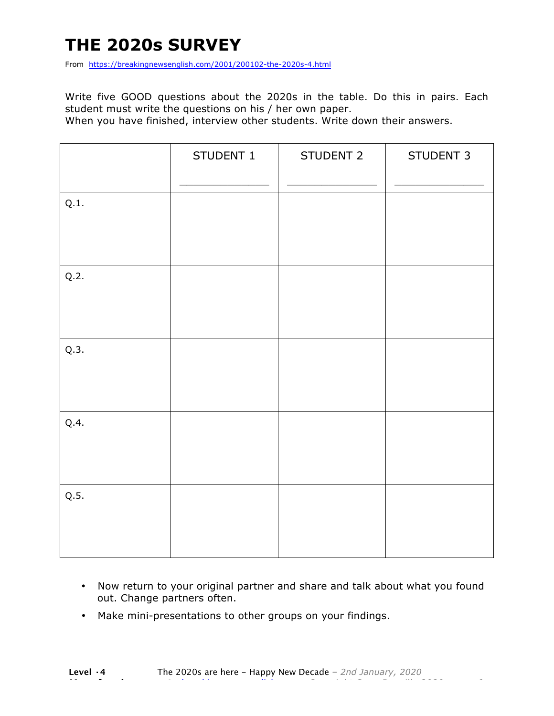### **THE 2020s SURVEY**

From https://breakingnewsenglish.com/2001/200102-the-2020s-4.html

Write five GOOD questions about the 2020s in the table. Do this in pairs. Each student must write the questions on his / her own paper.

When you have finished, interview other students. Write down their answers.

|      | STUDENT 1 | STUDENT 2 | STUDENT 3 |
|------|-----------|-----------|-----------|
| Q.1. |           |           |           |
| Q.2. |           |           |           |
| Q.3. |           |           |           |
| Q.4. |           |           |           |
| Q.5. |           |           |           |

- Now return to your original partner and share and talk about what you found out. Change partners often.
- Make mini-presentations to other groups on your findings.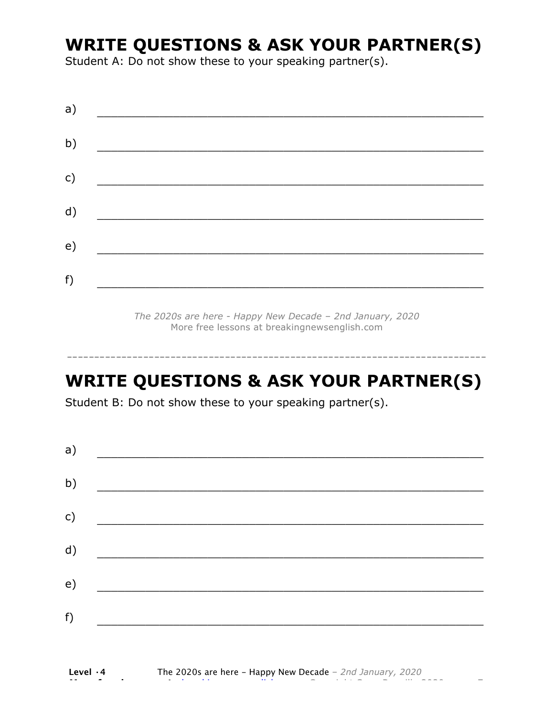### **WRITE QUESTIONS & ASK YOUR PARTNER(S)**

Student A: Do not show these to your speaking partner(s).

*The 2020s are here - Happy New Decade – 2nd January, 2020* More free lessons at breakingnewsenglish.com

### **WRITE QUESTIONS & ASK YOUR PARTNER(S)**

-----------------------------------------------------------------------------

Student B: Do not show these to your speaking partner(s).

| a)            |                                         |  |  |
|---------------|-----------------------------------------|--|--|
| b)            |                                         |  |  |
| $\mathsf{c})$ | <u> 1980 - Johann Barbara, martin a</u> |  |  |
| d)            |                                         |  |  |
| e)            |                                         |  |  |
| f)            |                                         |  |  |
|               |                                         |  |  |